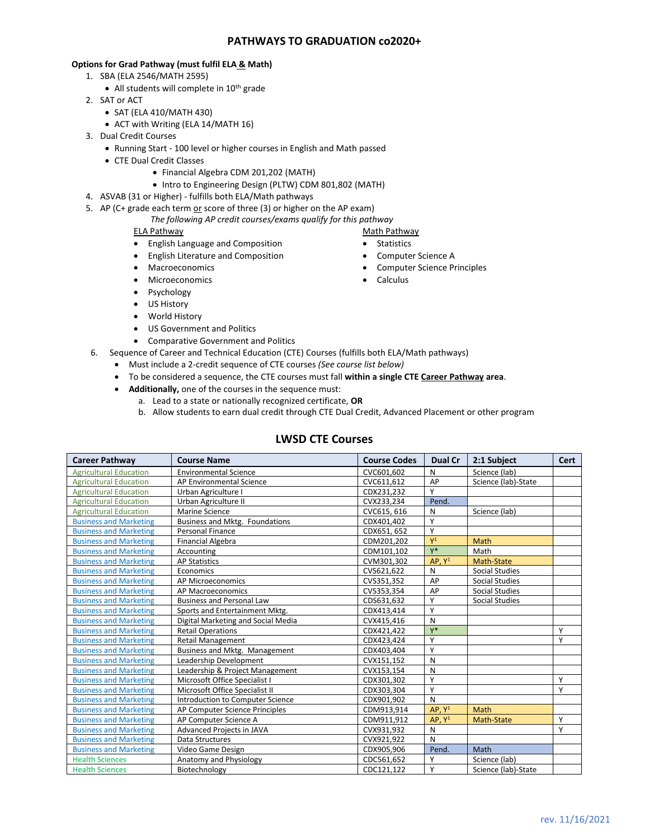## **PATHWAYS TO GRADUATION co2020+**

## **Options for Grad Pathway (must fulfil ELA & Math)**

- 1. SBA (ELA 2546/MATH 2595)
	- All students will complete in 10<sup>th</sup> grade
- 2. SAT or ACT
	- SAT (ELA 410/MATH 430)
	- ACT with Writing (ELA 14/MATH 16)
- 3. Dual Credit Courses
	- Running Start 100 level or higher courses in English and Math passed
	- CTE Dual Credit Classes
		- Financial Algebra CDM 201,202 (MATH)
			- Intro to Engineering Design (PLTW) CDM 801,802 (MATH)
- 4. ASVAB (31 or Higher) fulfills both ELA/Math pathways
- 5. AP (C+ grade each term  $or$  score of three (3) or higher on the AP exam)
	- *The following AP credit courses/exams qualify for this pathway*

## ELA Pathway

- English Language and Composition
- English Literature and Composition
- Macroeconomics
- Microeconomics
- Psychology
- US History
- World History
- US Government and Politics
- Comparative Government and Politics
- 6. Sequence of Career and Technical Education (CTE) Courses (fulfills both ELA/Math pathways)
	- Must include a 2-credit sequence of CTE courses *(See course list below)*
	- To be considered a sequence, the CTE courses must fall **within a single CTE Career Pathway area**.
	- **Additionally,** one of the courses in the sequence must:
		- a. Lead to a state or nationally recognized certificate, **OR**
		- b. Allow students to earn dual credit through CTE Dual Credit, Advanced Placement or other program

## **LWSD CTE Courses**

| <b>Career Pathway</b>         | <b>Course Name</b>                 | <b>Course Codes</b> | Dual Cr            | 2:1 Subject           | Cert |
|-------------------------------|------------------------------------|---------------------|--------------------|-----------------------|------|
| <b>Agricultural Education</b> | <b>Environmental Science</b>       | CVC601.602          | N                  | Science (lab)         |      |
| <b>Agricultural Education</b> | AP Environmental Science           | CVC611,612          | AP                 | Science (lab)-State   |      |
| <b>Agricultural Education</b> | Urban Agriculture I                | CDX231,232          | Υ                  |                       |      |
| <b>Agricultural Education</b> | Urban Agriculture II               | CVX233,234          | Pend.              |                       |      |
| <b>Agricultural Education</b> | Marine Science                     | CVC615, 616         | N                  | Science (lab)         |      |
| <b>Business and Marketing</b> | Business and Mktg. Foundations     | CDX401,402          | Υ                  |                       |      |
| <b>Business and Marketing</b> | Personal Finance                   | CDX651, 652         | Υ                  |                       |      |
| <b>Business and Marketing</b> | <b>Financial Algebra</b>           | CDM201,202          | $Y^1$              | Math                  |      |
| <b>Business and Marketing</b> | Accounting                         | CDM101,102          | $Y^*$              | Math                  |      |
| <b>Business and Marketing</b> | <b>AP Statistics</b>               | CVM301,302          | AP, Y <sup>1</sup> | Math-State            |      |
| <b>Business and Marketing</b> | Economics                          | CVS621,622          | N                  | <b>Social Studies</b> |      |
| <b>Business and Marketing</b> | AP Microeconomics                  | CVS351,352          | AP                 | Social Studies        |      |
| <b>Business and Marketing</b> | AP Macroeconomics                  | CVS353,354          | AP                 | <b>Social Studies</b> |      |
| <b>Business and Marketing</b> | <b>Business and Personal Law</b>   | CDS631,632          | Υ                  | <b>Social Studies</b> |      |
| <b>Business and Marketing</b> | Sports and Entertainment Mktg.     | CDX413,414          | Υ                  |                       |      |
| <b>Business and Marketing</b> | Digital Marketing and Social Media | CVX415,416          | N                  |                       |      |
| <b>Business and Marketing</b> | <b>Retail Operations</b>           | CDX421,422          | $Y^*$              |                       | Y    |
| <b>Business and Marketing</b> | <b>Retail Management</b>           | CDX423,424          | Υ                  |                       | Υ    |
| <b>Business and Marketing</b> | Business and Mktg. Management      | CDX403,404          | Υ                  |                       |      |
| <b>Business and Marketing</b> | Leadership Development             | CVX151,152          | N                  |                       |      |
| <b>Business and Marketing</b> | Leadership & Project Management    | CVX153,154          | N                  |                       |      |
| <b>Business and Marketing</b> | Microsoft Office Specialist I      | CDX301,302          | Υ                  |                       | Υ    |
| <b>Business and Marketing</b> | Microsoft Office Specialist II     | CDX303,304          | Υ                  |                       | Υ    |
| <b>Business and Marketing</b> | Introduction to Computer Science   | CDX901,902          | N                  |                       |      |
| <b>Business and Marketing</b> | AP Computer Science Principles     | CDM913,914          | AP, $Y^1$          | <b>Math</b>           |      |
| <b>Business and Marketing</b> | AP Computer Science A              | CDM911,912          | AP, Y <sup>1</sup> | Math-State            | Υ    |
| <b>Business and Marketing</b> | Advanced Projects in JAVA          | CVX931,932          | N                  |                       | Y    |
| <b>Business and Marketing</b> | Data Structures                    | CVX921,922          | $\mathsf{N}$       |                       |      |
| <b>Business and Marketing</b> | Video Game Design                  | CDX905,906          | Pend.              | Math                  |      |
| <b>Health Sciences</b>        | Anatomy and Physiology             | CDC561,652          | Υ                  | Science (lab)         |      |
| <b>Health Sciences</b>        | Biotechnology                      | CDC121.122          | Υ                  | Science (lab)-State   |      |

Math Pathway • Statistics

- Computer Science A
- Computer Science Principles
- Calculus